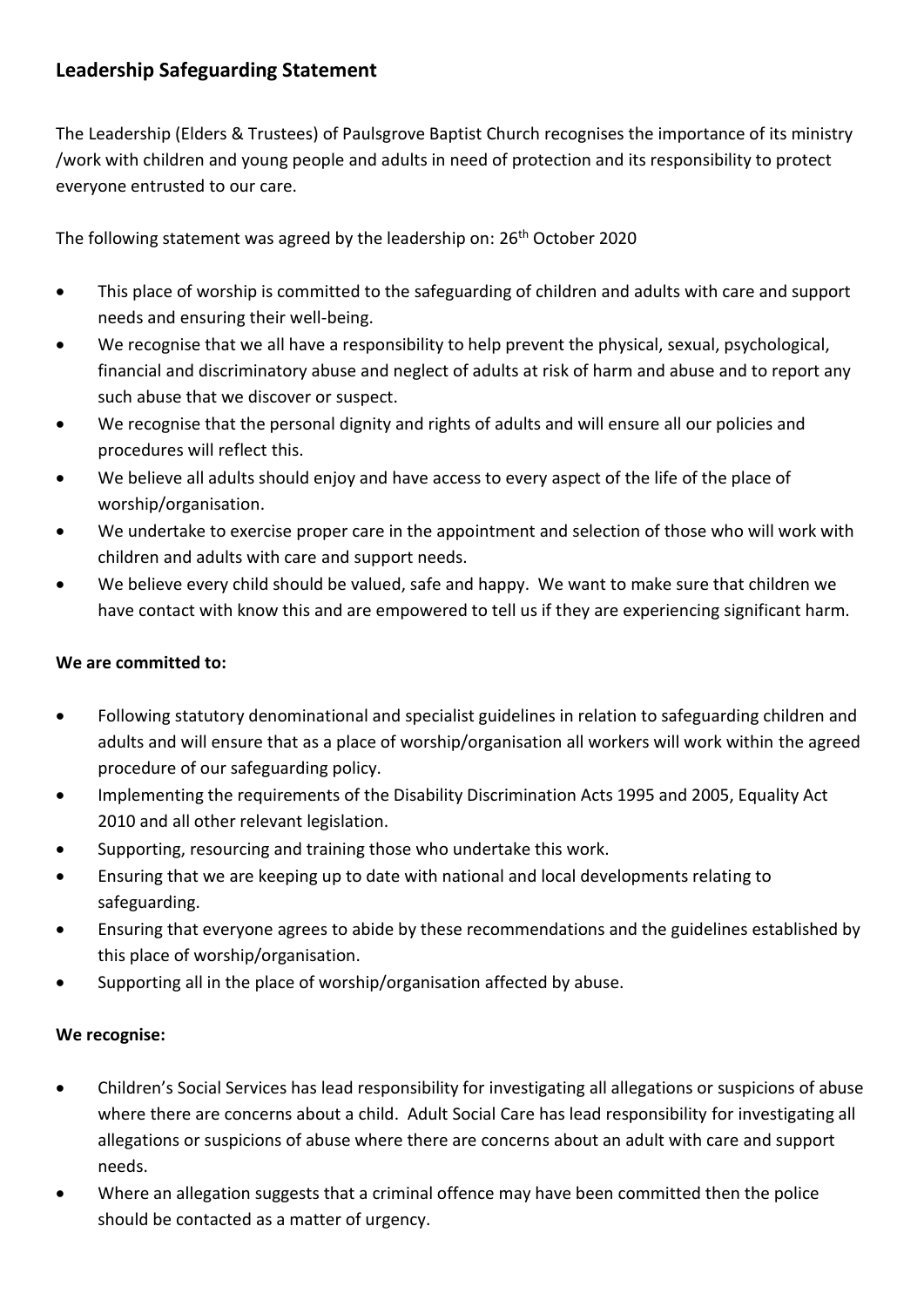## **Leadership Safeguarding Statement**

The Leadership (Elders & Trustees) of Paulsgrove Baptist Church recognises the importance of its ministry /work with children and young people and adults in need of protection and its responsibility to protect everyone entrusted to our care.

The following statement was agreed by the leadership on: 26<sup>th</sup> October 2020

- This place of worship is committed to the safeguarding of children and adults with care and support needs and ensuring their well-being.
- We recognise that we all have a responsibility to help prevent the physical, sexual, psychological, financial and discriminatory abuse and neglect of adults at risk of harm and abuse and to report any such abuse that we discover or suspect.
- We recognise that the personal dignity and rights of adults and will ensure all our policies and procedures will reflect this.
- We believe all adults should enjoy and have access to every aspect of the life of the place of worship/organisation.
- We undertake to exercise proper care in the appointment and selection of those who will work with children and adults with care and support needs.
- We believe every child should be valued, safe and happy. We want to make sure that children we have contact with know this and are empowered to tell us if they are experiencing significant harm.

## **We are committed to:**

- Following statutory denominational and specialist guidelines in relation to safeguarding children and adults and will ensure that as a place of worship/organisation all workers will work within the agreed procedure of our safeguarding policy.
- Implementing the requirements of the Disability Discrimination Acts 1995 and 2005, Equality Act 2010 and all other relevant legislation.
- Supporting, resourcing and training those who undertake this work.
- Ensuring that we are keeping up to date with national and local developments relating to safeguarding.
- Ensuring that everyone agrees to abide by these recommendations and the guidelines established by this place of worship/organisation.
- Supporting all in the place of worship/organisation affected by abuse.

## **We recognise:**

- Children's Social Services has lead responsibility for investigating all allegations or suspicions of abuse where there are concerns about a child. Adult Social Care has lead responsibility for investigating all allegations or suspicions of abuse where there are concerns about an adult with care and support needs.
- Where an allegation suggests that a criminal offence may have been committed then the police should be contacted as a matter of urgency.